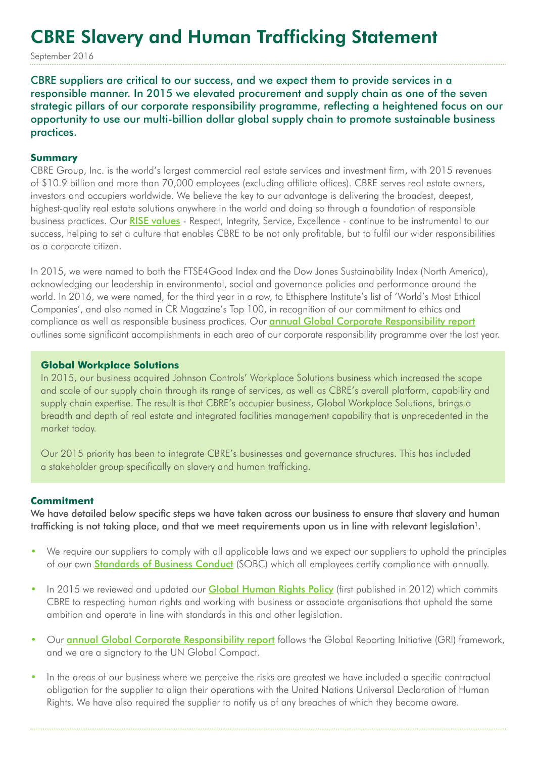# CBRE Slavery and Human Trafficking Statement

September 2016

CBRE suppliers are critical to our success, and we expect them to provide services in a responsible manner. In 2015 we elevated procurement and supply chain as one of the seven strategic pillars of our corporate responsibility programme, reflecting a heightened focus on our opportunity to use our multi-billion dollar global supply chain to promote sustainable business practices.

#### **Summary**

CBRE Group, Inc. is the world's largest commercial real estate services and investment firm, with 2015 revenues of \$10.9 billion and more than 70,000 employees (excluding affiliate offices). CBRE serves real estate owners, investors and occupiers worldwide. We believe the key to our advantage is delivering the broadest, deepest, highest-quality real estate solutions anywhere in the world and doing so through a foundation of responsible business practices. Our [RISE values](http://www.cbre.com/about/careers/employee-advantage) - Respect, Integrity, Service, Excellence - continue to be instrumental to our success, helping to set a culture that enables CBRE to be not only profitable, but to fulfil our wider responsibilities as a corporate citizen.

In 2015, we were named to both the FTSE4Good Index and the Dow Jones Sustainability Index (North America), acknowledging our leadership in environmental, social and governance policies and performance around the world. In 2016, we were named, for the third year in a row, to Ethisphere Institute's list of 'World's Most Ethical Companies', and also named in CR Magazine's Top 100, in recognition of our commitment to ethics and compliance as well as responsible business practices. Our **[annual Global Corporate Responsibility report](http://www.cbre.com/about/corporate-responsibility)** outlines some significant accomplishments in each area of our corporate responsibility programme over the last year.

### **Global Workplace Solutions**

In 2015, our business acquired Johnson Controls' Workplace Solutions business which increased the scope and scale of our supply chain through its range of services, as well as CBRE's overall platform, capability and supply chain expertise. The result is that CBRE's occupier business, Global Workplace Solutions, brings a breadth and depth of real estate and integrated facilities management capability that is unprecedented in the market today.

Our 2015 priority has been to integrate CBRE's businesses and governance structures. This has included a stakeholder group specifically on slavery and human trafficking.

#### **Commitment**

We have detailed below specific steps we have taken across our business to ensure that slavery and human trafficking is not taking place, and that we meet requirements upon us in line with relevant legislation<sup>1</sup>.

- We require our suppliers to comply with all applicable laws and we expect our suppliers to uphold the principles of our own **[Standards of Business Conduct](http://www.cbre.com/about/corporate-responsibility/ethics-and-compliance)** (SOBC) which all employees certify compliance with annually.
- In 2015 we reviewed and updated our **[Global Human Rights Policy](http://www.cbre.com/about/corporate-responsibility/procurement)** (first published in 2012) which commits CBRE to respecting human rights and working with business or associate organisations that uphold the same ambition and operate in line with standards in this and other legislation.
- Our **[annual Global Corporate Responsibility report](http://www.cbre.com/about/corporate-responsibility)** follows the Global Reporting Initiative (GRI) framework, and we are a signatory to the UN Global Compact.
- In the areas of our business where we perceive the risks are greatest we have included a specific contractual obligation for the supplier to align their operations with the United Nations Universal Declaration of Human Rights. We have also required the supplier to notify us of any breaches of which they become aware.